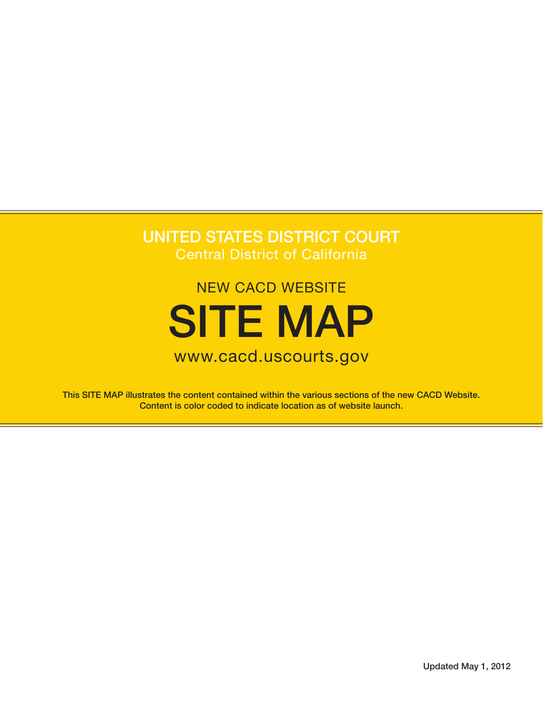## UNITED STATES DISTRICT COURT Central District of California

## NEW CACD WEBSITE SITE MAP

## www.cacd.uscourts.gov

This SITE MAP illustrates the content contained within the various sections of the new CACD Website. Content is color coded to indicate location as of website launch.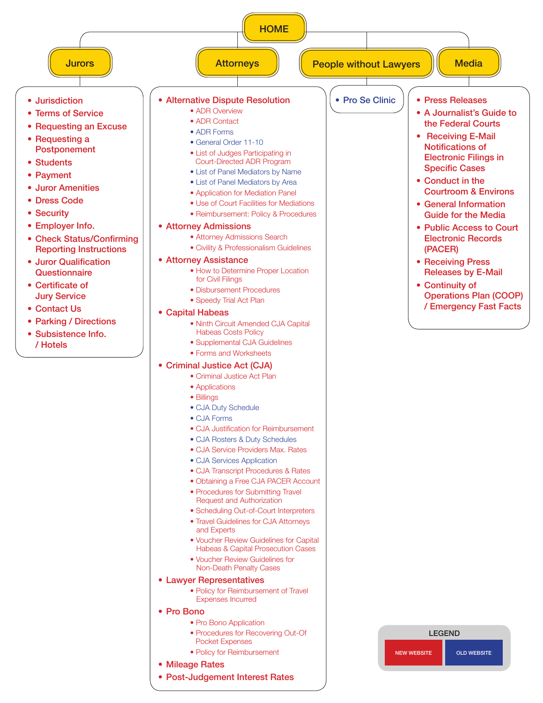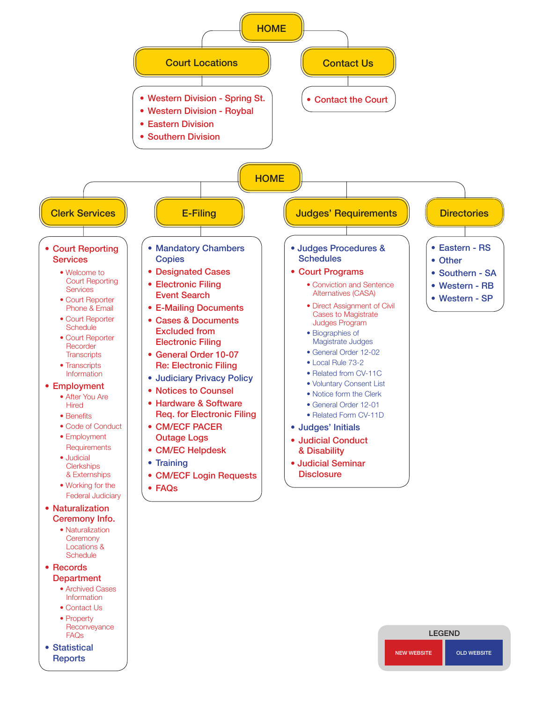